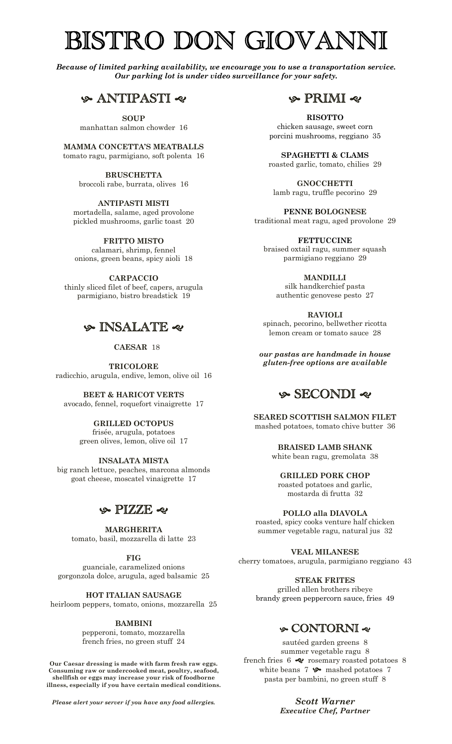# BISTRO DON GIOVANNI

*Because of limited parking availability, we encourage you to use a transportation service. Our parking lot is under video surveillance for your safety.*

# h ANTIPASTI g

**SOUP** manhattan salmon chowder 16

**MAMMA CONCETTA'S MEATBALLS** tomato ragu, parmigiano, soft polenta 16

> **BRUSCHETTA** broccoli rabe, burrata, olives 16

> > **ANTIPASTI MISTI**

mortadella, salame, aged provolone pickled mushrooms, garlic toast 20

**FRITTO MISTO** calamari, shrimp, fennel

onions, green beans, spicy aioli 18

**CARPACCIO** thinly sliced filet of beef, capers, arugula parmigiano, bistro breadstick 19

# h INSALATE g

 **CAESAR** 18

**TRICOLORE** radicchio, arugula, endive, lemon, olive oil 16

**BEET & HARICOT VERTS** avocado, fennel, roquefort vinaigrette 17

#### **GRILLED OCTOPUS** frisée, arugula, potatoes green olives, lemon, olive oil 17

**INSALATA MISTA** big ranch lettuce, peaches, marcona almonds goat cheese, moscatel vinaigrette 17

# $\circ$  PIZZE  $\circ$

**MARGHERITA** tomato, basil, mozzarella di latte 23

**FIG**

guanciale, caramelized onions gorgonzola dolce, arugula, aged balsamic 25

**HOT ITALIAN SAUSAGE**

heirloom peppers, tomato, onions, mozzarella 25

## **BAMBINI**

pepperoni, tomato, mozzarella french fries, no green stuff 24

**Our Caesar dressing is made with farm fresh raw eggs. Consuming raw or undercooked meat, poultry, seafood, shellfish or eggs may increase your risk of foodborne illness, especially if you have certain medical conditions.**

*Please alert your server if you have any food allergies.*



**RISOTTO** chicken sausage, sweet corn porcini mushrooms, reggiano 35

**SPAGHETTI & CLAMS** roasted garlic, tomato, chilies 29

**GNOCCHETTI** lamb ragu, truffle pecorino 29

**PENNE BOLOGNESE** traditional meat ragu, aged provolone 29

**FETTUCCINE** braised oxtail ragu, summer squash parmigiano reggiano 29

**MANDILLI** silk handkerchief pasta authentic genovese pesto 27

**RAVIOLI** spinach, pecorino, bellwether ricotta lemon cream or tomato sauce 28

*our pastas are handmade in house gluten-free options are available*

# h SECONDI g

**SEARED SCOTTISH SALMON FILET** mashed potatoes, tomato chive butter 36

> **BRAISED LAMB SHANK** white bean ragu, gremolata 38

**GRILLED PORK CHOP** roasted potatoes and garlic,

mostarda di frutta 32

**POLLO alla DIAVOLA** roasted, spicy cooks venture half chicken summer vegetable ragu, natural jus 32

**VEAL MILANESE** cherry tomatoes, arugula, parmigiano reggiano 43

**STEAK FRITES** grilled allen brothers ribeye brandy green peppercorn sauce, fries 49

# h CONTORNI g

sautéed garden greens 8 summer vegetable ragu 8 french fries  $6 \ll$  rosemary roasted potatoes 8 white beans  $7 \leftrightarrow$  mashed potatoes  $7$ pasta per bambini, no green stuff 8

> *Scott Warner Executive Chef, Partner*